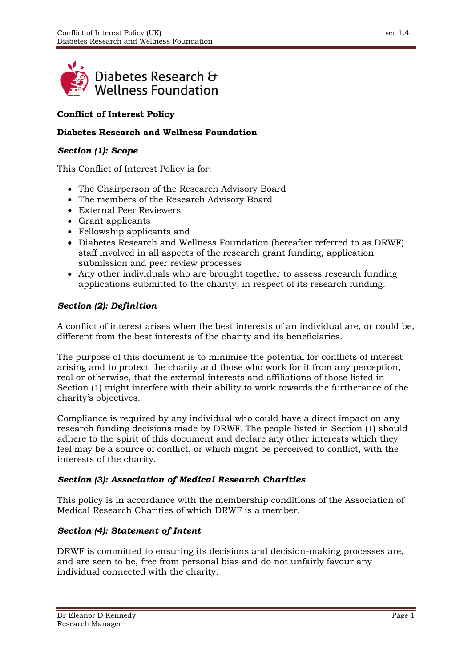

# **Conflict of Interest Policy**

## **Diabetes Research and Wellness Foundation**

#### *Section (1): Scope*

This Conflict of Interest Policy is for:

- The Chairperson of the Research Advisory Board
- The members of the Research Advisory Board
- External Peer Reviewers
- Grant applicants
- Fellowship applicants and
- Diabetes Research and Wellness Foundation (hereafter referred to as DRWF) staff involved in all aspects of the research grant funding, application submission and peer review processes
- Any other individuals who are brought together to assess research funding applications submitted to the charity, in respect of its research funding.

### *Section (2): Definition*

A conflict of interest arises when the best interests of an individual are, or could be, different from the best interests of the charity and its beneficiaries.

The purpose of this document is to minimise the potential for conflicts of interest arising and to protect the charity and those who work for it from any perception, real or otherwise, that the external interests and affiliations of those listed in Section (1) might interfere with their ability to work towards the furtherance of the charity's objectives.

Compliance is required by any individual who could have a direct impact on any research funding decisions made by DRWF. The people listed in Section (1) should adhere to the spirit of this document and declare any other interests which they feel may be a source of conflict, or which might be perceived to conflict, with the interests of the charity.

#### *Section (3): Association of Medical Research Charities*

This policy is in accordance with the membership conditions of the Association of Medical Research Charities of which DRWF is a member.

## *Section (4): Statement of Intent*

DRWF is committed to ensuring its decisions and decision-making processes are, and are seen to be, free from personal bias and do not unfairly favour any individual connected with the charity.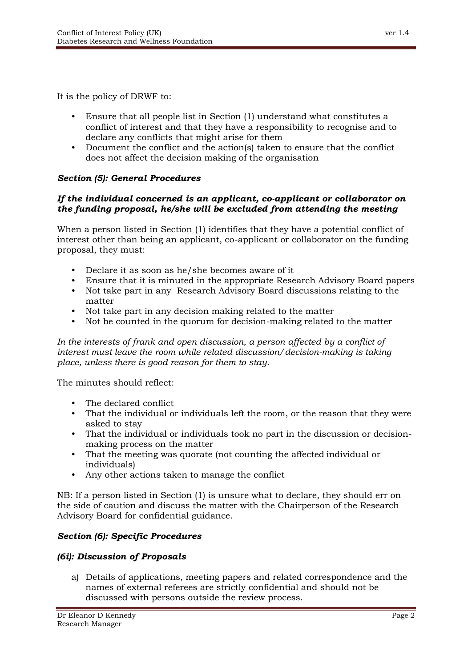It is the policy of DRWF to:

- Ensure that all people list in Section (1) understand what constitutes a conflict of interest and that they have a responsibility to recognise and to declare any conflicts that might arise for them
- Document the conflict and the action(s) taken to ensure that the conflict does not affect the decision making of the organisation

#### *Section (5): General Procedures*

#### *If the individual concerned is an applicant, co-applicant or collaborator on the funding proposal, he/she will be excluded from attending the meeting*

When a person listed in Section (1) identifies that they have a potential conflict of interest other than being an applicant, co-applicant or collaborator on the funding proposal, they must:

- Declare it as soon as he/she becomes aware of it
- Ensure that it is minuted in the appropriate Research Advisory Board papers
- Not take part in any Research Advisory Board discussions relating to the matter
- Not take part in any decision making related to the matter
- Not be counted in the quorum for decision-making related to the matter

*In the interests of frank and open discussion, a person affected by a conflict of interest must leave the room while related discussion/decision-making is taking place, unless there is good reason for them to stay.*

The minutes should reflect:

- The declared conflict
- That the individual or individuals left the room, or the reason that they were asked to stay
- That the individual or individuals took no part in the discussion or decisionmaking process on the matter
- That the meeting was quorate (not counting the affected individual or individuals)
- Any other actions taken to manage the conflict

NB: If a person listed in Section (1) is unsure what to declare, they should err on the side of caution and discuss the matter with the Chairperson of the Research Advisory Board for confidential guidance.

#### *Section (6): Specific Procedures*

#### *(6i): Discussion of Proposals*

a) Details of applications, meeting papers and related correspondence and the names of external referees are strictly confidential and should not be discussed with persons outside the review process.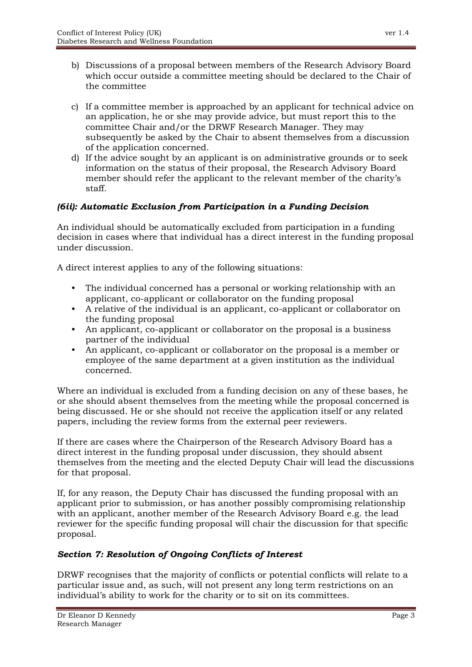- b) Discussions of a proposal between members of the Research Advisory Board which occur outside a committee meeting should be declared to the Chair of the committee
- c) If a committee member is approached by an applicant for technical advice on an application, he or she may provide advice, but must report this to the committee Chair and/or the DRWF Research Manager. They may subsequently be asked by the Chair to absent themselves from a discussion of the application concerned.
- d) If the advice sought by an applicant is on administrative grounds or to seek information on the status of their proposal, the Research Advisory Board member should refer the applicant to the relevant member of the charity's staff.

## *(6ii): Automatic Exclusion from Participation in a Funding Decision*

An individual should be automatically excluded from participation in a funding decision in cases where that individual has a direct interest in the funding proposal under discussion.

A direct interest applies to any of the following situations:

- The individual concerned has a personal or working relationship with an applicant, co-applicant or collaborator on the funding proposal
- A relative of the individual is an applicant, co-applicant or collaborator on the funding proposal
- An applicant, co-applicant or collaborator on the proposal is a business partner of the individual
- An applicant, co-applicant or collaborator on the proposal is a member or employee of the same department at a given institution as the individual concerned.

Where an individual is excluded from a funding decision on any of these bases, he or she should absent themselves from the meeting while the proposal concerned is being discussed. He or she should not receive the application itself or any related papers, including the review forms from the external peer reviewers.

If there are cases where the Chairperson of the Research Advisory Board has a direct interest in the funding proposal under discussion, they should absent themselves from the meeting and the elected Deputy Chair will lead the discussions for that proposal.

If, for any reason, the Deputy Chair has discussed the funding proposal with an applicant prior to submission, or has another possibly compromising relationship with an applicant, another member of the Research Advisory Board e.g. the lead reviewer for the specific funding proposal will chair the discussion for that specific proposal.

## *Section 7: Resolution of Ongoing Conflicts of Interest*

DRWF recognises that the majority of conflicts or potential conflicts will relate to a particular issue and, as such, will not present any long term restrictions on an individual's ability to work for the charity or to sit on its committees.